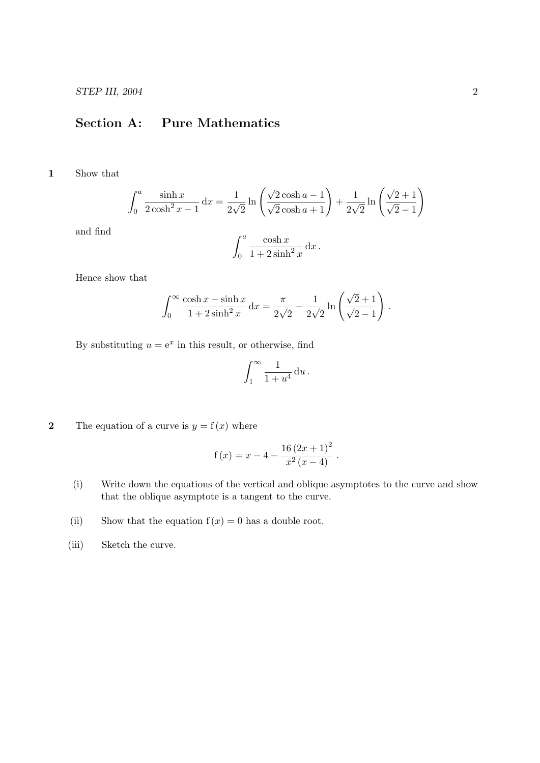## Section A: Pure Mathematics

1 Show that

$$
\int_0^a \frac{\sinh x}{2\cosh^2 x - 1} dx = \frac{1}{2\sqrt{2}} \ln \left( \frac{\sqrt{2}\cosh a - 1}{\sqrt{2}\cosh a + 1} \right) + \frac{1}{2\sqrt{2}} \ln \left( \frac{\sqrt{2} + 1}{\sqrt{2} - 1} \right)
$$

and find

$$
\int_0^a \frac{\cosh x}{1 + 2\sinh^2 x} \, \mathrm{d}x \, .
$$

Hence show that

$$
\int_0^\infty \frac{\cosh x - \sinh x}{1 + 2\sinh^2 x} \, \mathrm{d}x = \frac{\pi}{2\sqrt{2}} - \frac{1}{2\sqrt{2}} \ln \left( \frac{\sqrt{2} + 1}{\sqrt{2} - 1} \right) \, .
$$

By substituting  $u = e^x$  in this result, or otherwise, find

$$
\int_1^\infty \frac{1}{1+u^4} \, \mathrm{d}u \, .
$$

2 The equation of a curve is  $y = f(x)$  where

$$
f(x) = x - 4 - \frac{16(2x+1)^2}{x^2(x-4)}
$$
.

- (i) Write down the equations of the vertical and oblique asymptotes to the curve and show that the oblique asymptote is a tangent to the curve.
- (ii) Show that the equation  $f(x) = 0$  has a double root.
- (iii) Sketch the curve.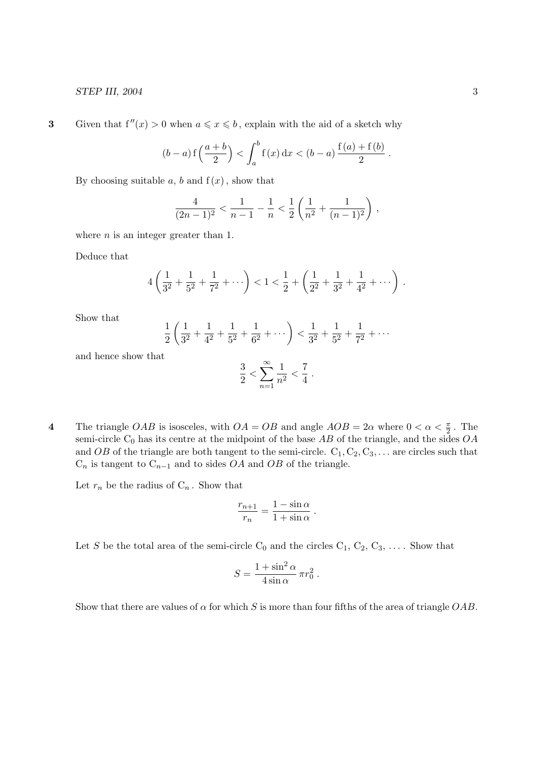3 Given that  $f''(x) > 0$  when  $a \leq x \leq b$ , explain with the aid of a sketch why

$$
(b-a)\operatorname{f}\left(\frac{a+b}{2}\right) < \int_a^b \operatorname{f}(x)\,dx < (b-a)\frac{\operatorname{f}(a)+\operatorname{f}(b)}{2}.
$$

By choosing suitable a, b and  $f(x)$ , show that

$$
\frac{4}{(2n-1)^2} < \frac{1}{n-1} - \frac{1}{n} < \frac{1}{2} \left( \frac{1}{n^2} + \frac{1}{(n-1)^2} \right),
$$

where  $n$  is an integer greater than 1.

Deduce that

$$
4\left(\frac{1}{3^2} + \frac{1}{5^2} + \frac{1}{7^2} + \cdots\right) < 1 < \frac{1}{2} + \left(\frac{1}{2^2} + \frac{1}{3^2} + \frac{1}{4^2} + \cdots\right).
$$

Show that

$$
\frac{1}{2}\left(\frac{1}{3^2} + \frac{1}{4^2} + \frac{1}{5^2} + \frac{1}{6^2} + \cdots\right) < \frac{1}{3^2} + \frac{1}{5^2} + \frac{1}{7^2} + \cdots
$$

and hence show that

$$
\frac{3}{2} < \sum_{n=1}^{\infty} \frac{1}{n^2} < \frac{7}{4}
$$

.

4 The triangle OAB is isosceles, with  $OA = OB$  and angle  $AOB = 2\alpha$  where  $0 < \alpha < \frac{\pi}{2}$ . The semi-circle  $C_0$  has its centre at the midpoint of the base  $AB$  of the triangle, and the sides  $OA$ and OB of the triangle are both tangent to the semi-circle.  $C_1, C_2, C_3, \ldots$  are circles such that  $C_n$  is tangent to  $C_{n-1}$  and to sides  $OA$  and  $OB$  of the triangle.

Let  $r_n$  be the radius of  $C_n$ . Show that

$$
\frac{r_{n+1}}{r_n} = \frac{1 - \sin \alpha}{1 + \sin \alpha}.
$$

Let S be the total area of the semi-circle  $C_0$  and the circles  $C_1, C_2, C_3, \ldots$ . Show that

$$
S = \frac{1 + \sin^2 \alpha}{4 \sin \alpha} \pi r_0^2.
$$

Show that there are values of  $\alpha$  for which S is more than four fifths of the area of triangle OAB.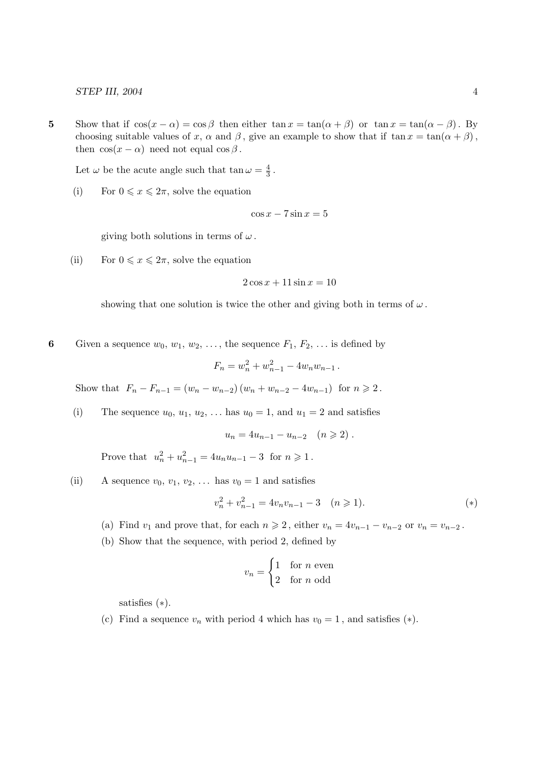5 Show that if  $\cos(x - \alpha) = \cos \beta$  then either  $\tan x = \tan(\alpha + \beta)$  or  $\tan x = \tan(\alpha - \beta)$ . By choosing suitable values of x,  $\alpha$  and  $\beta$ , give an example to show that if  $\tan x = \tan(\alpha + \beta)$ , then  $\cos(x - \alpha)$  need not equal  $\cos \beta$ .

Let  $\omega$  be the acute angle such that  $\tan \omega = \frac{4}{3}$  $\frac{4}{3}$  .

(i) For  $0 \leqslant x \leqslant 2\pi$ , solve the equation

$$
\cos x - 7\sin x = 5
$$

giving both solutions in terms of  $\omega$ .

(ii) For  $0 \leqslant x \leqslant 2\pi$ , solve the equation

$$
2\cos x + 11\sin x = 10
$$

showing that one solution is twice the other and giving both in terms of  $\omega$ .

6 Given a sequence  $w_0, w_1, w_2, \ldots$ , the sequence  $F_1, F_2, \ldots$  is defined by

$$
F_n = w_n^2 + w_{n-1}^2 - 4w_nw_{n-1} \, .
$$

Show that  $F_n - F_{n-1} = (w_n - w_{n-2})(w_n + w_{n-2} - 4w_{n-1})$  for  $n \ge 2$ .

(i) The sequence  $u_0, u_1, u_2, \ldots$  has  $u_0 = 1$ , and  $u_1 = 2$  and satisfies

$$
u_n = 4u_{n-1} - u_{n-2} \quad (n \geq 2) .
$$

Prove that  $u_n^2 + u_{n-1}^2 = 4u_nu_{n-1} - 3$  for  $n \ge 1$ .

(ii) A sequence  $v_0, v_1, v_2, \ldots$  has  $v_0 = 1$  and satisfies

$$
v_n^2 + v_{n-1}^2 = 4v_n v_{n-1} - 3 \quad (n \ge 1).
$$
 (\*)

- (a) Find  $v_1$  and prove that, for each  $n \geq 2$ , either  $v_n = 4v_{n-1} v_{n-2}$  or  $v_n = v_{n-2}$ .
- (b) Show that the sequence, with period 2, defined by

$$
v_n = \begin{cases} 1 & \text{for } n \text{ even} \\ 2 & \text{for } n \text{ odd} \end{cases}
$$

satisfies (∗).

(c) Find a sequence  $v_n$  with period 4 which has  $v_0 = 1$ , and satisfies (\*).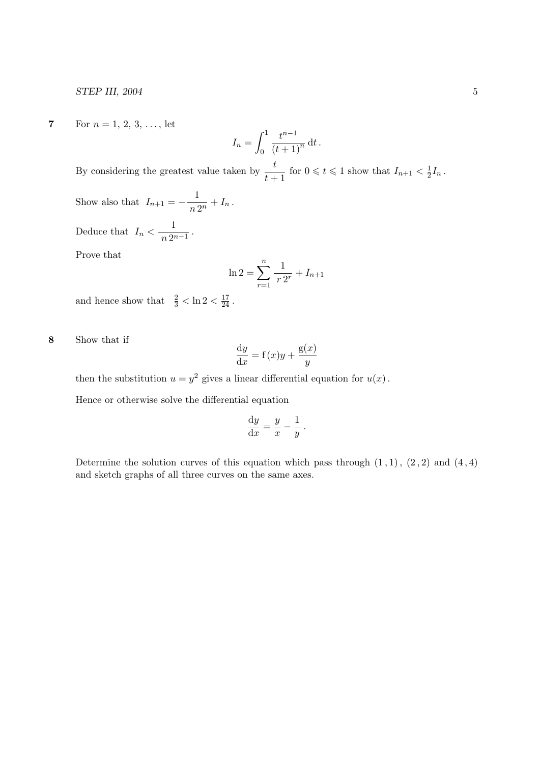7 For  $n = 1, 2, 3, \ldots$ , let

$$
I_n = \int_0^1 \frac{t^{n-1}}{(t+1)^n} \, \mathrm{d}t \, .
$$

By considering the greatest value taken by  $\frac{t}{t+1}$  for  $0 \leqslant t \leqslant 1$  show that  $I_{n+1} < \frac{1}{2}$  $\frac{1}{2}I_n$ . 1

Show also that 
$$
I_{n+1} = -\frac{1}{n 2^n} + I_n
$$
.

Deduce that  $I_n < \frac{1}{n^2}$  $\frac{1}{n 2^{n-1}}$ .

Prove that

$$
\ln 2 = \sum_{r=1}^{n} \frac{1}{r \, 2^r} + I_{n+1}
$$

and hence show that  $\frac{2}{3} < \ln 2 < \frac{17}{24}$ .

8 Show that if

$$
\frac{\mathrm{d}y}{\mathrm{d}x} = f(x)y + \frac{g(x)}{y}
$$

then the substitution  $u = y^2$  gives a linear differential equation for  $u(x)$ .

Hence or otherwise solve the differential equation

$$
\frac{\mathrm{d}y}{\mathrm{d}x} = \frac{y}{x} - \frac{1}{y} \; .
$$

Determine the solution curves of this equation which pass through  $(1, 1)$ ,  $(2, 2)$  and  $(4, 4)$ and sketch graphs of all three curves on the same axes.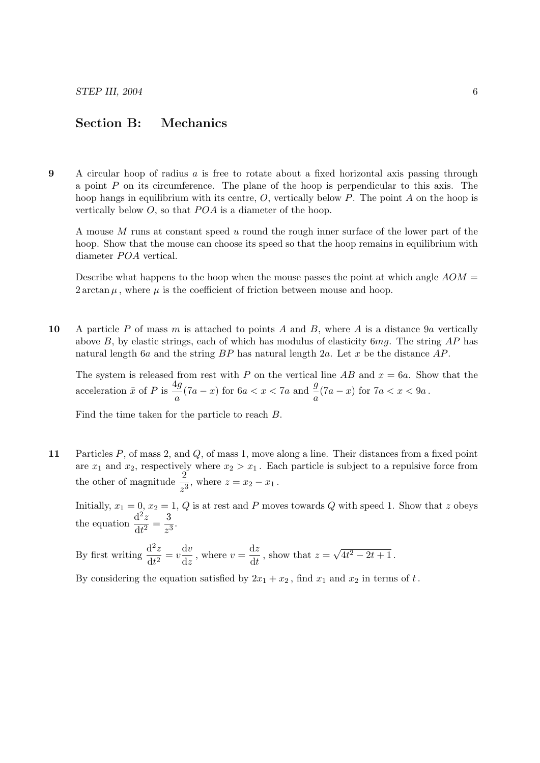## Section B: Mechanics

9 A circular hoop of radius a is free to rotate about a fixed horizontal axis passing through a point  $P$  on its circumference. The plane of the hoop is perpendicular to this axis. The hoop hangs in equilibrium with its centre,  $O$ , vertically below  $P$ . The point  $A$  on the hoop is vertically below  $O$ , so that  $POA$  is a diameter of the hoop.

A mouse M runs at constant speed u round the rough inner surface of the lower part of the hoop. Show that the mouse can choose its speed so that the hoop remains in equilibrium with diameter *POA* vertical.

Describe what happens to the hoop when the mouse passes the point at which angle  $AOM =$  $2 \arctan \mu$ , where  $\mu$  is the coefficient of friction between mouse and hoop.

10 A particle P of mass m is attached to points A and B, where A is a distance  $9a$  vertically above  $B$ , by elastic strings, each of which has modulus of elasticity  $6mg$ . The string  $AP$  has natural length 6a and the string  $BP$  has natural length 2a. Let x be the distance  $AP$ .

The system is released from rest with P on the vertical line AB and  $x = 6a$ . Show that the acceleration  $\ddot{x}$  of P is  $\frac{4g}{4}$  $\frac{4g}{a}(7a-x)$  for  $6a < x < 7a$  and  $\frac{g}{a}(7a-x)$  for  $7a < x < 9a$ .

Find the time taken for the particle to reach B.

11 Particles P, of mass 2, and Q, of mass 1, move along a line. Their distances from a fixed point are  $x_1$  and  $x_2$ , respectively where  $x_2 > x_1$ . Each particle is subject to a repulsive force from the other of magnitude  $\frac{2}{z^3}$ , where  $z = x_2 - x_1$ .

Initially,  $x_1 = 0$ ,  $x_2 = 1$ , Q is at rest and P moves towards Q with speed 1. Show that z obeys the equation  $\frac{d^2z}{dt^2}$  $\frac{\mathrm{d}^2 z}{\mathrm{d}t^2} = \frac{3}{z^3}$  $\frac{8}{z^3}$ .

By first writing  $\frac{d^2z}{dt^2}$  $\frac{\mathrm{d}^2 z}{\mathrm{d}t^2} = v \frac{\mathrm{d}v}{\mathrm{d}z}$  $\frac{\mathrm{d}v}{\mathrm{d}z}$ , where  $v = \frac{\mathrm{d}z}{\mathrm{d}t}$  $\frac{d^2z}{dt}$ , show that  $z =$ √  $4t^2 - 2t + 1$ .

By considering the equation satisfied by  $2x_1 + x_2$ , find  $x_1$  and  $x_2$  in terms of t.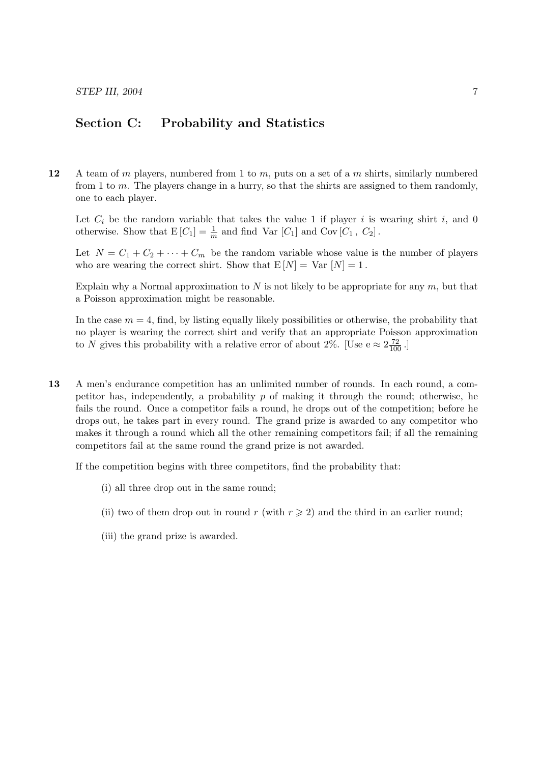## Section C: Probability and Statistics

12 A team of m players, numbered from 1 to m, puts on a set of a m shirts, similarly numbered from 1 to m. The players change in a hurry, so that the shirts are assigned to them randomly, one to each player.

Let  $C_i$  be the random variable that takes the value 1 if player i is wearing shirt i, and 0 otherwise. Show that  $E[C_1] = \frac{1}{m}$  and find Var  $[C_1]$  and Cov  $[C_1, C_2]$ .

Let  $N = C_1 + C_2 + \cdots + C_m$  be the random variable whose value is the number of players who are wearing the correct shirt. Show that  $E[N] = Var[N] = 1$ .

Explain why a Normal approximation to  $N$  is not likely to be appropriate for any  $m$ , but that a Poisson approximation might be reasonable.

In the case  $m = 4$ , find, by listing equally likely possibilities or otherwise, the probability that no player is wearing the correct shirt and verify that an appropriate Poisson approximation to N gives this probability with a relative error of about 2%. [Use  $e \approx 2\frac{72}{100}$ .]

13 A men's endurance competition has an unlimited number of rounds. In each round, a competitor has, independently, a probability p of making it through the round; otherwise, he fails the round. Once a competitor fails a round, he drops out of the competition; before he drops out, he takes part in every round. The grand prize is awarded to any competitor who makes it through a round which all the other remaining competitors fail; if all the remaining competitors fail at the same round the grand prize is not awarded.

If the competition begins with three competitors, find the probability that:

- (i) all three drop out in the same round;
- (ii) two of them drop out in round r (with  $r \geqslant 2$ ) and the third in an earlier round;
- (iii) the grand prize is awarded.